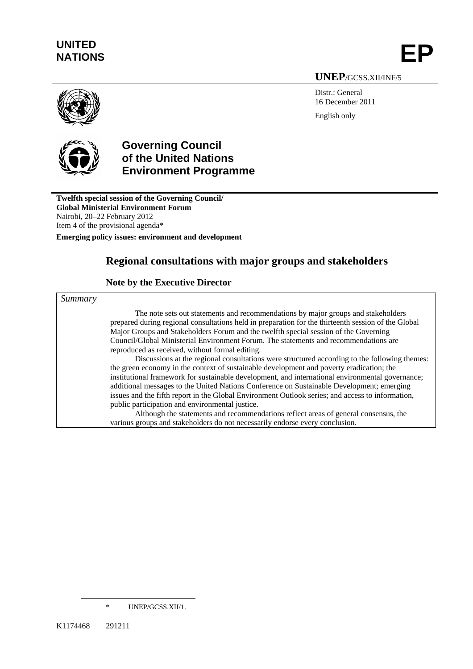# **UNITED**  UNITED<br>NATIONS **EP**

 **UNEP**/GCSS.XII/INF/5

Distr.: General 16 December 2011 English only



# **Governing Council of the United Nations Environment Programme**

**Twelfth special session of the Governing Council/ Global Ministerial Environment Forum**  Nairobi, 20–22 February 2012 Item 4 of the provisional agenda\*

**Emerging policy issues: environment and development** 

# **Regional consultations with major groups and stakeholders**

### **Note by the Executive Director**

*Summary* 

The note sets out statements and recommendations by major groups and stakeholders prepared during regional consultations held in preparation for the thirteenth session of the Global Major Groups and Stakeholders Forum and the twelfth special session of the Governing Council/Global Ministerial Environment Forum. The statements and recommendations are reproduced as received, without formal editing.

Discussions at the regional consultations were structured according to the following themes: the green economy in the context of sustainable development and poverty eradication; the institutional framework for sustainable development, and international environmental governance; additional messages to the United Nations Conference on Sustainable Development; emerging issues and the fifth report in the Global Environment Outlook series; and access to information, public participation and environmental justice.

Although the statements and recommendations reflect areas of general consensus, the various groups and stakeholders do not necessarily endorse every conclusion.

l

UNEP/GCSS.XII/1.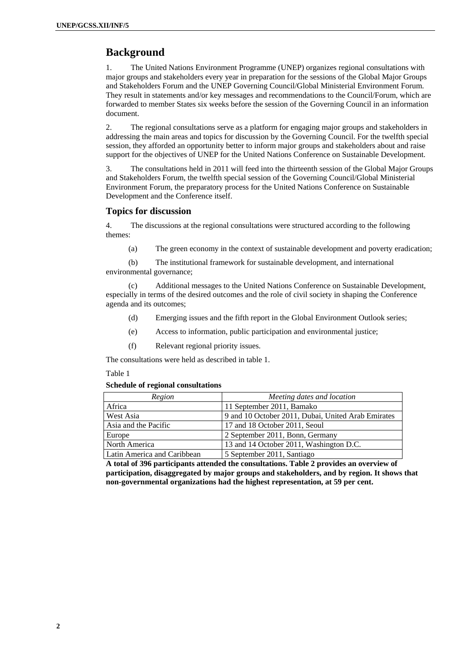# **Background**

1. The United Nations Environment Programme (UNEP) organizes regional consultations with major groups and stakeholders every year in preparation for the sessions of the Global Major Groups and Stakeholders Forum and the UNEP Governing Council/Global Ministerial Environment Forum. They result in statements and/or key messages and recommendations to the Council/Forum, which are forwarded to member States six weeks before the session of the Governing Council in an information document.

2. The regional consultations serve as a platform for engaging major groups and stakeholders in addressing the main areas and topics for discussion by the Governing Council. For the twelfth special session, they afforded an opportunity better to inform major groups and stakeholders about and raise support for the objectives of UNEP for the United Nations Conference on Sustainable Development.

3. The consultations held in 2011 will feed into the thirteenth session of the Global Major Groups and Stakeholders Forum, the twelfth special session of the Governing Council/Global Ministerial Environment Forum, the preparatory process for the United Nations Conference on Sustainable Development and the Conference itself.

#### **Topics for discussion**

4. The discussions at the regional consultations were structured according to the following themes:

(a) The green economy in the context of sustainable development and poverty eradication;

(b) The institutional framework for sustainable development, and international environmental governance;

(c) Additional messages to the United Nations Conference on Sustainable Development, especially in terms of the desired outcomes and the role of civil society in shaping the Conference agenda and its outcomes;

- (d) Emerging issues and the fifth report in the Global Environment Outlook series;
- (e) Access to information, public participation and environmental justice;
- (f) Relevant regional priority issues.

The consultations were held as described in table 1.

Table 1

#### **Schedule of regional consultations**

| Region                      | Meeting dates and location                         |  |  |  |  |
|-----------------------------|----------------------------------------------------|--|--|--|--|
| Africa                      | 11 September 2011, Bamako                          |  |  |  |  |
| West Asia                   | 9 and 10 October 2011, Dubai, United Arab Emirates |  |  |  |  |
| Asia and the Pacific        | 17 and 18 October 2011, Seoul                      |  |  |  |  |
| Europe                      | 2 September 2011, Bonn, Germany                    |  |  |  |  |
| North America               | 13 and 14 October 2011, Washington D.C.            |  |  |  |  |
| Latin America and Caribbean | 5 September 2011, Santiago                         |  |  |  |  |

**A total of 396 participants attended the consultations. Table 2 provides an overview of participation, disaggregated by major groups and stakeholders, and by region. It shows that non-governmental organizations had the highest representation, at 59 per cent.**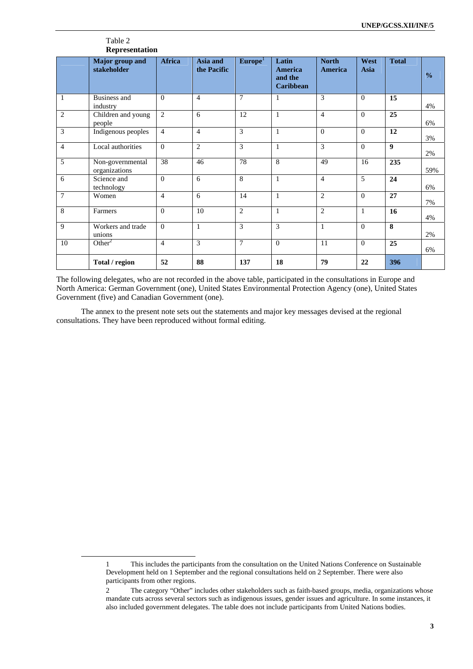|                | Table 2<br>Representation         |                |                         |                     |                                                 |                         |              |                    |               |
|----------------|-----------------------------------|----------------|-------------------------|---------------------|-------------------------------------------------|-------------------------|--------------|--------------------|---------------|
|                | Major group and<br>stakeholder    | Africa         | Asia and<br>the Pacific | Europe <sup>1</sup> | Latin<br>America<br>and the<br><b>Caribbean</b> | <b>North</b><br>America | West<br>Asia | <b>Total</b>       | $\frac{0}{0}$ |
| $\mathbf{1}$   | <b>Business and</b><br>industry   | $\Omega$       | $\overline{4}$          | $\overline{7}$      | 1                                               | 3                       | $\Omega$     | 15                 | 4%            |
| $\overline{2}$ | Children and young<br>people      | $\overline{2}$ | 6                       | 12                  | $\mathbf{1}$                                    | $\overline{4}$          | $\Omega$     | $\overline{25}$    | 6%            |
| 3              | Indigenous peoples                | $\overline{4}$ | $\overline{4}$          | 3                   | 1                                               | $\Omega$                | $\Omega$     | 12                 | 3%            |
| $\overline{4}$ | Local authorities                 | $\Omega$       | $\overline{2}$          | 3                   | $\mathbf{1}$                                    | 3                       | $\Omega$     | $\boldsymbol{9}$   | 2%            |
| 5              | Non-governmental<br>organizations | 38             | 46                      | 78                  | 8                                               | 49                      | 16           | 235                | 59%           |
| 6              | Science and<br>technology         | $\Omega$       | 6                       | 8                   | $\mathbf{1}$                                    | $\overline{4}$          | 5            | 24                 | 6%            |
| $\overline{7}$ | Women                             | $\overline{4}$ | 6                       | 14                  | $\mathbf{1}$                                    | $\overline{2}$          | $\Omega$     | 27                 | 7%            |
| 8              | Farmers                           | $\Omega$       | 10                      | $\overline{2}$      | $\mathbf{1}$                                    | $\overline{2}$          | $\mathbf{1}$ | 16                 | 4%            |
| 9              | Workers and trade<br>unions       | $\Omega$       | $\mathbf{1}$            | 3                   | 3                                               | 1                       | $\Omega$     | $\overline{\bf 8}$ | 2%            |
| 10             | Other <sup>2</sup>                | $\overline{4}$ | 3                       | $\overline{7}$      | $\Omega$                                        | 11                      | $\Omega$     | 25                 | 6%            |
|                | Total / region                    | 52             | 88                      | 137                 | 18                                              | 79                      | 22           | 396                |               |

The following delegates, who are not recorded in the above table, participated in the consultations in Europe and North America: German Government (one), United States Environmental Protection Agency (one), United States Government (five) and Canadian Government (one).

The annex to the present note sets out the statements and major key messages devised at the regional consultations. They have been reproduced without formal editing.

l

<sup>1</sup> This includes the participants from the consultation on the United Nations Conference on Sustainable Development held on 1 September and the regional consultations held on 2 September. There were also participants from other regions.

<sup>2</sup> The category "Other" includes other stakeholders such as faith-based groups, media, organizations whose mandate cuts across several sectors such as indigenous issues, gender issues and agriculture. In some instances, it also included government delegates. The table does not include participants from United Nations bodies.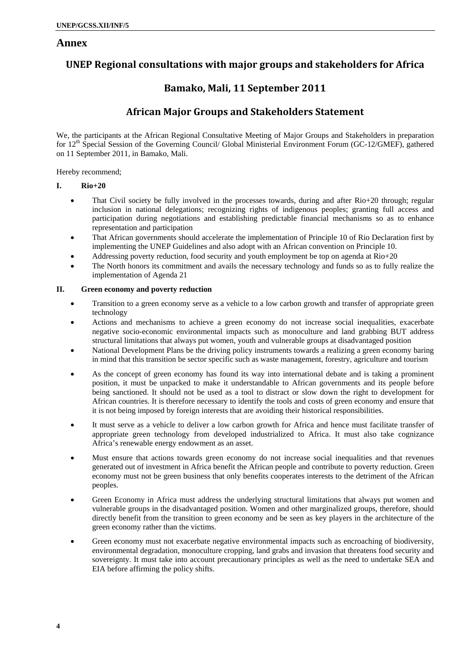### **Annex**

# **UNEP Regional consultations with major groups and stakeholders for Africa**

# **Bamako, Mali, 11 September 2011**

# **African Major Groups and Stakeholders Statement**

We, the participants at the African Regional Consultative Meeting of Major Groups and Stakeholders in preparation for 12<sup>th</sup> Special Session of the Governing Council/ Global Ministerial Environment Forum (GC-12/GMEF), gathered on 11 September 2011, in Bamako, Mali.

Hereby recommend;

#### **I. Rio+20**

- That Civil society be fully involved in the processes towards, during and after Rio+20 through; regular inclusion in national delegations; recognizing rights of indigenous peoples; granting full access and participation during negotiations and establishing predictable financial mechanisms so as to enhance representation and participation
- That African governments should accelerate the implementation of Principle 10 of Rio Declaration first by implementing the UNEP Guidelines and also adopt with an African convention on Principle 10.
- Addressing poverty reduction, food security and youth employment be top on agenda at Rio+20
- The North honors its commitment and avails the necessary technology and funds so as to fully realize the implementation of Agenda 21

#### **II. Green economy and poverty reduction**

- Transition to a green economy serve as a vehicle to a low carbon growth and transfer of appropriate green technology
- Actions and mechanisms to achieve a green economy do not increase social inequalities, exacerbate negative socio-economic environmental impacts such as monoculture and land grabbing BUT address structural limitations that always put women, youth and vulnerable groups at disadvantaged position
- National Development Plans be the driving policy instruments towards a realizing a green economy baring in mind that this transition be sector specific such as waste management, forestry, agriculture and tourism
- As the concept of green economy has found its way into international debate and is taking a prominent position, it must be unpacked to make it understandable to African governments and its people before being sanctioned. It should not be used as a tool to distract or slow down the right to development for African countries. It is therefore necessary to identify the tools and costs of green economy and ensure that it is not being imposed by foreign interests that are avoiding their historical responsibilities.
- It must serve as a vehicle to deliver a low carbon growth for Africa and hence must facilitate transfer of appropriate green technology from developed industrialized to Africa. It must also take cognizance Africa's renewable energy endowment as an asset.
- Must ensure that actions towards green economy do not increase social inequalities and that revenues generated out of investment in Africa benefit the African people and contribute to poverty reduction. Green economy must not be green business that only benefits cooperates interests to the detriment of the African peoples.
- Green Economy in Africa must address the underlying structural limitations that always put women and vulnerable groups in the disadvantaged position. Women and other marginalized groups, therefore, should directly benefit from the transition to green economy and be seen as key players in the architecture of the green economy rather than the victims.
- Green economy must not exacerbate negative environmental impacts such as encroaching of biodiversity, environmental degradation, monoculture cropping, land grabs and invasion that threatens food security and sovereignty. It must take into account precautionary principles as well as the need to undertake SEA and EIA before affirming the policy shifts.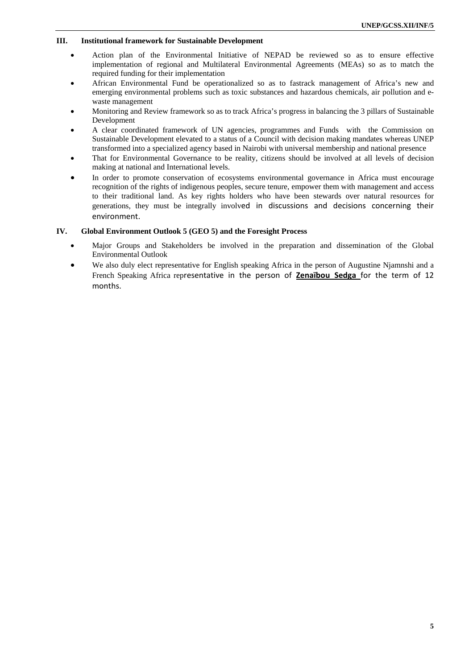#### **III. Institutional framework for Sustainable Development**

- Action plan of the Environmental Initiative of NEPAD be reviewed so as to ensure effective implementation of regional and Multilateral Environmental Agreements (MEAs) so as to match the required funding for their implementation
- African Environmental Fund be operationalized so as to fastrack management of Africa's new and emerging environmental problems such as toxic substances and hazardous chemicals, air pollution and ewaste management
- Monitoring and Review framework so as to track Africa's progress in balancing the 3 pillars of Sustainable Development
- A clear coordinated framework of UN agencies, programmes and Funds with the Commission on Sustainable Development elevated to a status of a Council with decision making mandates whereas UNEP transformed into a specialized agency based in Nairobi with universal membership and national presence
- That for Environmental Governance to be reality, citizens should be involved at all levels of decision making at national and International levels.
- In order to promote conservation of ecosystems environmental governance in Africa must encourage recognition of the rights of indigenous peoples, secure tenure, empower them with management and access to their traditional land. As key rights holders who have been stewards over natural resources for generations, they must be integrally involved in discussions and decisions concerning their environment.

#### **IV. Global Environment Outlook 5 (GEO 5) and the Foresight Process**

- Major Groups and Stakeholders be involved in the preparation and dissemination of the Global Environmental Outlook
- We also duly elect representative for English speaking Africa in the person of Augustine Njamnshi and a French Speaking Africa representative in the person of **Zenaïbou Sedga** for the term of 12 months.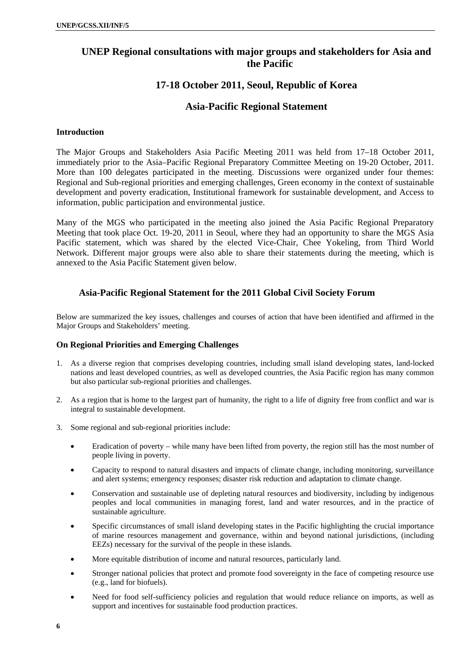# **UNEP Regional consultations with major groups and stakeholders for Asia and the Pacific**

# **17-18 October 2011, Seoul, Republic of Korea**

### **Asia-Pacific Regional Statement**

### **Introduction**

The Major Groups and Stakeholders Asia Pacific Meeting 2011 was held from 17–18 October 2011, immediately prior to the Asia–Pacific Regional Preparatory Committee Meeting on 19-20 October, 2011. More than 100 delegates participated in the meeting. Discussions were organized under four themes: Regional and Sub-regional priorities and emerging challenges, Green economy in the context of sustainable development and poverty eradication, Institutional framework for sustainable development, and Access to information, public participation and environmental justice.

Many of the MGS who participated in the meeting also joined the Asia Pacific Regional Preparatory Meeting that took place Oct. 19-20, 2011 in Seoul, where they had an opportunity to share the MGS Asia Pacific statement, which was shared by the elected Vice-Chair, Chee Yokeling, from Third World Network. Different major groups were also able to share their statements during the meeting, which is annexed to the Asia Pacific Statement given below.

### **Asia-Pacific Regional Statement for the 2011 Global Civil Society Forum**

Below are summarized the key issues, challenges and courses of action that have been identified and affirmed in the Major Groups and Stakeholders' meeting.

### **On Regional Priorities and Emerging Challenges**

- 1. As a diverse region that comprises developing countries, including small island developing states, land-locked nations and least developed countries, as well as developed countries, the Asia Pacific region has many common but also particular sub-regional priorities and challenges.
- 2. As a region that is home to the largest part of humanity, the right to a life of dignity free from conflict and war is integral to sustainable development.
- 3. Some regional and sub-regional priorities include:
	- Eradication of poverty while many have been lifted from poverty, the region still has the most number of people living in poverty.
	- Capacity to respond to natural disasters and impacts of climate change, including monitoring, surveillance and alert systems; emergency responses; disaster risk reduction and adaptation to climate change.
	- Conservation and sustainable use of depleting natural resources and biodiversity, including by indigenous peoples and local communities in managing forest, land and water resources, and in the practice of sustainable agriculture.
	- Specific circumstances of small island developing states in the Pacific highlighting the crucial importance of marine resources management and governance, within and beyond national jurisdictions, (including EEZs) necessary for the survival of the people in these islands.
	- More equitable distribution of income and natural resources, particularly land.
	- Stronger national policies that protect and promote food sovereignty in the face of competing resource use (e.g., land for biofuels).
	- Need for food self-sufficiency policies and regulation that would reduce reliance on imports, as well as support and incentives for sustainable food production practices.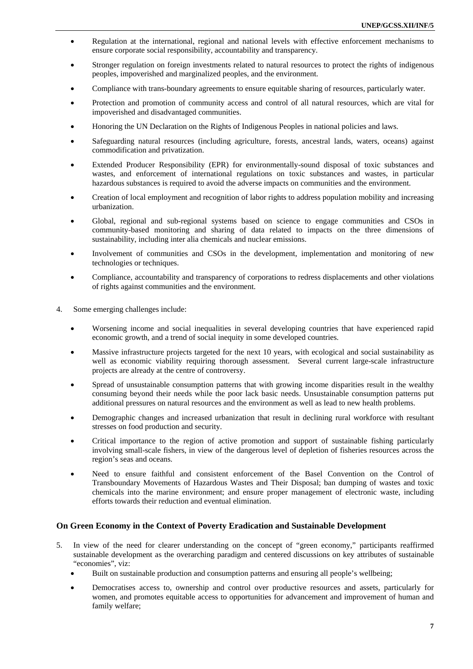- Regulation at the international, regional and national levels with effective enforcement mechanisms to ensure corporate social responsibility, accountability and transparency.
- Stronger regulation on foreign investments related to natural resources to protect the rights of indigenous peoples, impoverished and marginalized peoples, and the environment.
- Compliance with trans-boundary agreements to ensure equitable sharing of resources, particularly water.
- Protection and promotion of community access and control of all natural resources, which are vital for impoverished and disadvantaged communities.
- Honoring the UN Declaration on the Rights of Indigenous Peoples in national policies and laws.
- Safeguarding natural resources (including agriculture, forests, ancestral lands, waters, oceans) against commodification and privatization.
- Extended Producer Responsibility (EPR) for environmentally-sound disposal of toxic substances and wastes, and enforcement of international regulations on toxic substances and wastes, in particular hazardous substances is required to avoid the adverse impacts on communities and the environment.
- Creation of local employment and recognition of labor rights to address population mobility and increasing urbanization.
- Global, regional and sub-regional systems based on science to engage communities and CSOs in community-based monitoring and sharing of data related to impacts on the three dimensions of sustainability, including inter alia chemicals and nuclear emissions.
- Involvement of communities and CSOs in the development, implementation and monitoring of new technologies or techniques.
- Compliance, accountability and transparency of corporations to redress displacements and other violations of rights against communities and the environment.
- 4. Some emerging challenges include:
	- Worsening income and social inequalities in several developing countries that have experienced rapid economic growth, and a trend of social inequity in some developed countries.
	- Massive infrastructure projects targeted for the next 10 years, with ecological and social sustainability as well as economic viability requiring thorough assessment. Several current large-scale infrastructure projects are already at the centre of controversy.
	- Spread of unsustainable consumption patterns that with growing income disparities result in the wealthy consuming beyond their needs while the poor lack basic needs. Unsustainable consumption patterns put additional pressures on natural resources and the environment as well as lead to new health problems.
	- Demographic changes and increased urbanization that result in declining rural workforce with resultant stresses on food production and security.
	- Critical importance to the region of active promotion and support of sustainable fishing particularly involving small-scale fishers, in view of the dangerous level of depletion of fisheries resources across the region's seas and oceans.
	- Need to ensure faithful and consistent enforcement of the Basel Convention on the Control of Transboundary Movements of Hazardous Wastes and Their Disposal; ban dumping of wastes and toxic chemicals into the marine environment; and ensure proper management of electronic waste, including efforts towards their reduction and eventual elimination.

### **On Green Economy in the Context of Poverty Eradication and Sustainable Development**

- 5. In view of the need for clearer understanding on the concept of "green economy," participants reaffirmed sustainable development as the overarching paradigm and centered discussions on key attributes of sustainable "economies", viz:
	- Built on sustainable production and consumption patterns and ensuring all people's wellbeing;
	- Democratises access to, ownership and control over productive resources and assets, particularly for women, and promotes equitable access to opportunities for advancement and improvement of human and family welfare;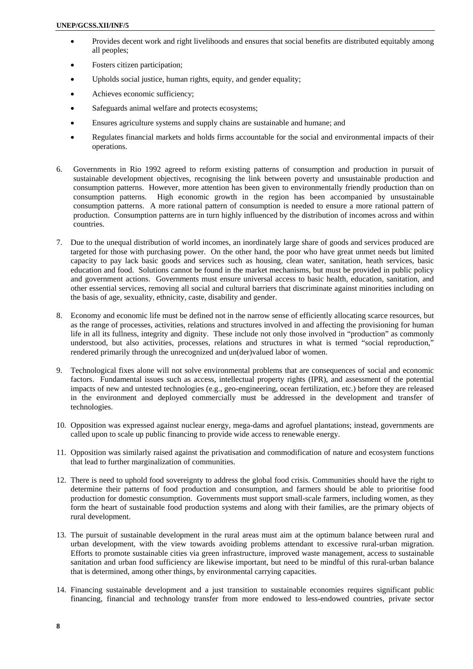- Provides decent work and right livelihoods and ensures that social benefits are distributed equitably among all peoples;
- Fosters citizen participation;
- Upholds social justice, human rights, equity, and gender equality;
- Achieves economic sufficiency;
- Safeguards animal welfare and protects ecosystems;
- Ensures agriculture systems and supply chains are sustainable and humane; and
- Regulates financial markets and holds firms accountable for the social and environmental impacts of their operations.
- 6. Governments in Rio 1992 agreed to reform existing patterns of consumption and production in pursuit of sustainable development objectives, recognising the link between poverty and unsustainable production and consumption patterns. However, more attention has been given to environmentally friendly production than on consumption patterns. High economic growth in the region has been accompanied by unsustainable consumption patterns. A more rational pattern of consumption is needed to ensure a more rational pattern of production. Consumption patterns are in turn highly influenced by the distribution of incomes across and within countries.
- 7. Due to the unequal distribution of world incomes, an inordinately large share of goods and services produced are targeted for those with purchasing power. On the other hand, the poor who have great unmet needs but limited capacity to pay lack basic goods and services such as housing, clean water, sanitation, heath services, basic education and food. Solutions cannot be found in the market mechanisms, but must be provided in public policy and government actions. Governments must ensure universal access to basic health, education, sanitation, and other essential services, removing all social and cultural barriers that discriminate against minorities including on the basis of age, sexuality, ethnicity, caste, disability and gender.
- 8. Economy and economic life must be defined not in the narrow sense of efficiently allocating scarce resources, but as the range of processes, activities, relations and structures involved in and affecting the provisioning for human life in all its fullness, integrity and dignity. These include not only those involved in "production" as commonly understood, but also activities, processes, relations and structures in what is termed "social reproduction," rendered primarily through the unrecognized and un(der)valued labor of women.
- 9. Technological fixes alone will not solve environmental problems that are consequences of social and economic factors. Fundamental issues such as access, intellectual property rights (IPR), and assessment of the potential impacts of new and untested technologies (e.g., geo-engineering, ocean fertilization, etc.) before they are released in the environment and deployed commercially must be addressed in the development and transfer of technologies.
- 10. Opposition was expressed against nuclear energy, mega-dams and agrofuel plantations; instead, governments are called upon to scale up public financing to provide wide access to renewable energy.
- 11. Opposition was similarly raised against the privatisation and commodification of nature and ecosystem functions that lead to further marginalization of communities.
- 12. There is need to uphold food sovereignty to address the global food crisis. Communities should have the right to determine their patterns of food production and consumption, and farmers should be able to prioritise food production for domestic consumption. Governments must support small-scale farmers, including women, as they form the heart of sustainable food production systems and along with their families, are the primary objects of rural development.
- 13. The pursuit of sustainable development in the rural areas must aim at the optimum balance between rural and urban development, with the view towards avoiding problems attendant to excessive rural-urban migration. Efforts to promote sustainable cities via green infrastructure, improved waste management, access to sustainable sanitation and urban food sufficiency are likewise important, but need to be mindful of this rural-urban balance that is determined, among other things, by environmental carrying capacities.
- 14. Financing sustainable development and a just transition to sustainable economies requires significant public financing, financial and technology transfer from more endowed to less-endowed countries, private sector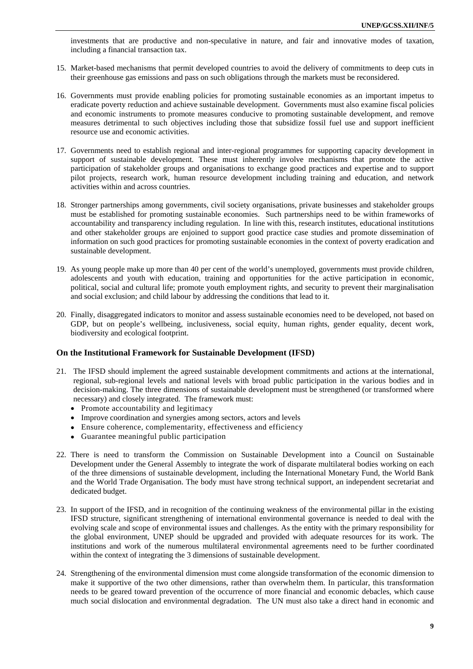investments that are productive and non-speculative in nature, and fair and innovative modes of taxation, including a financial transaction tax.

- 15. Market-based mechanisms that permit developed countries to avoid the delivery of commitments to deep cuts in their greenhouse gas emissions and pass on such obligations through the markets must be reconsidered.
- 16. Governments must provide enabling policies for promoting sustainable economies as an important impetus to eradicate poverty reduction and achieve sustainable development. Governments must also examine fiscal policies and economic instruments to promote measures conducive to promoting sustainable development, and remove measures detrimental to such objectives including those that subsidize fossil fuel use and support inefficient resource use and economic activities.
- 17. Governments need to establish regional and inter-regional programmes for supporting capacity development in support of sustainable development. These must inherently involve mechanisms that promote the active participation of stakeholder groups and organisations to exchange good practices and expertise and to support pilot projects, research work, human resource development including training and education, and network activities within and across countries.
- 18. Stronger partnerships among governments, civil society organisations, private businesses and stakeholder groups must be established for promoting sustainable economies. Such partnerships need to be within frameworks of accountability and transparency including regulation. In line with this, research institutes, educational institutions and other stakeholder groups are enjoined to support good practice case studies and promote dissemination of information on such good practices for promoting sustainable economies in the context of poverty eradication and sustainable development.
- 19. As young people make up more than 40 per cent of the world's unemployed, governments must provide children, adolescents and youth with education, training and opportunities for the active participation in economic, political, social and cultural life; promote youth employment rights, and security to prevent their marginalisation and social exclusion; and child labour by addressing the conditions that lead to it.
- 20. Finally, disaggregated indicators to monitor and assess sustainable economies need to be developed, not based on GDP, but on people's wellbeing, inclusiveness, social equity, human rights, gender equality, decent work, biodiversity and ecological footprint.

#### **On the Institutional Framework for Sustainable Development (IFSD)**

- 21. The IFSD should implement the agreed sustainable development commitments and actions at the international, regional, sub-regional levels and national levels with broad public participation in the various bodies and in decision-making. The three dimensions of sustainable development must be strengthened (or transformed where necessary) and closely integrated. The framework must:
	- Promote accountability and legitimacy
	- Improve coordination and synergies among sectors, actors and levels
	- Ensure coherence, complementarity, effectiveness and efficiency
	- Guarantee meaningful public participation
- 22. There is need to transform the Commission on Sustainable Development into a Council on Sustainable Development under the General Assembly to integrate the work of disparate multilateral bodies working on each of the three dimensions of sustainable development, including the International Monetary Fund, the World Bank and the World Trade Organisation. The body must have strong technical support, an independent secretariat and dedicated budget.
- 23. In support of the IFSD, and in recognition of the continuing weakness of the environmental pillar in the existing IFSD structure, significant strengthening of international environmental governance is needed to deal with the evolving scale and scope of environmental issues and challenges. As the entity with the primary responsibility for the global environment, UNEP should be upgraded and provided with adequate resources for its work. The institutions and work of the numerous multilateral environmental agreements need to be further coordinated within the context of integrating the 3 dimensions of sustainable development.
- 24. Strengthening of the environmental dimension must come alongside transformation of the economic dimension to make it supportive of the two other dimensions, rather than overwhelm them. In particular, this transformation needs to be geared toward prevention of the occurrence of more financial and economic debacles, which cause much social dislocation and environmental degradation. The UN must also take a direct hand in economic and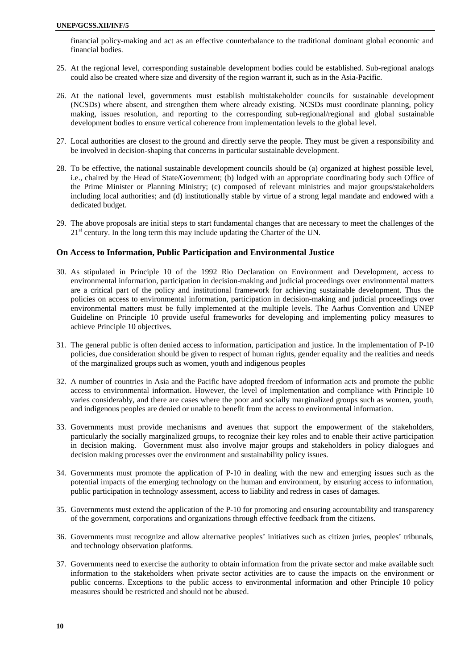financial policy-making and act as an effective counterbalance to the traditional dominant global economic and financial bodies.

- 25. At the regional level, corresponding sustainable development bodies could be established. Sub-regional analogs could also be created where size and diversity of the region warrant it, such as in the Asia-Pacific.
- 26. At the national level, governments must establish multistakeholder councils for sustainable development (NCSDs) where absent, and strengthen them where already existing. NCSDs must coordinate planning, policy making, issues resolution, and reporting to the corresponding sub-regional/regional and global sustainable development bodies to ensure vertical coherence from implementation levels to the global level.
- 27. Local authorities are closest to the ground and directly serve the people. They must be given a responsibility and be involved in decision-shaping that concerns in particular sustainable development.
- 28. To be effective, the national sustainable development councils should be (a) organized at highest possible level, i.e., chaired by the Head of State/Government; (b) lodged with an appropriate coordinating body such Office of the Prime Minister or Planning Ministry; (c) composed of relevant ministries and major groups/stakeholders including local authorities; and (d) institutionally stable by virtue of a strong legal mandate and endowed with a dedicated budget.
- 29. The above proposals are initial steps to start fundamental changes that are necessary to meet the challenges of the  $21<sup>st</sup>$  century. In the long term this may include updating the Charter of the UN.

#### **On Access to Information, Public Participation and Environmental Justice**

- 30. As stipulated in Principle 10 of the 1992 Rio Declaration on Environment and Development, access to environmental information, participation in decision-making and judicial proceedings over environmental matters are a critical part of the policy and institutional framework for achieving sustainable development. Thus the policies on access to environmental information, participation in decision-making and judicial proceedings over environmental matters must be fully implemented at the multiple levels. The Aarhus Convention and UNEP Guideline on Principle 10 provide useful frameworks for developing and implementing policy measures to achieve Principle 10 objectives.
- 31. The general public is often denied access to information, participation and justice. In the implementation of P-10 policies, due consideration should be given to respect of human rights, gender equality and the realities and needs of the marginalized groups such as women, youth and indigenous peoples
- 32. A number of countries in Asia and the Pacific have adopted freedom of information acts and promote the public access to environmental information. However, the level of implementation and compliance with Principle 10 varies considerably, and there are cases where the poor and socially marginalized groups such as women, youth, and indigenous peoples are denied or unable to benefit from the access to environmental information.
- 33. Governments must provide mechanisms and avenues that support the empowerment of the stakeholders, particularly the socially marginalized groups, to recognize their key roles and to enable their active participation in decision making. Government must also involve major groups and stakeholders in policy dialogues and decision making processes over the environment and sustainability policy issues.
- 34. Governments must promote the application of P-10 in dealing with the new and emerging issues such as the potential impacts of the emerging technology on the human and environment, by ensuring access to information, public participation in technology assessment, access to liability and redress in cases of damages.
- 35. Governments must extend the application of the P-10 for promoting and ensuring accountability and transparency of the government, corporations and organizations through effective feedback from the citizens.
- 36. Governments must recognize and allow alternative peoples' initiatives such as citizen juries, peoples' tribunals, and technology observation platforms.
- 37. Governments need to exercise the authority to obtain information from the private sector and make available such information to the stakeholders when private sector activities are to cause the impacts on the environment or public concerns. Exceptions to the public access to environmental information and other Principle 10 policy measures should be restricted and should not be abused.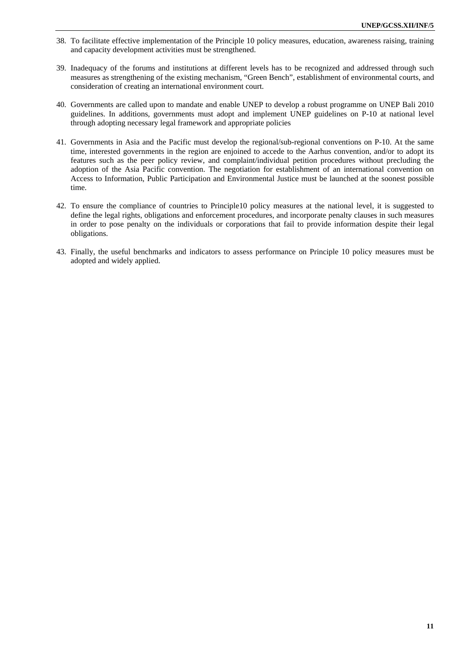- 38. To facilitate effective implementation of the Principle 10 policy measures, education, awareness raising, training and capacity development activities must be strengthened.
- 39. Inadequacy of the forums and institutions at different levels has to be recognized and addressed through such measures as strengthening of the existing mechanism, "Green Bench", establishment of environmental courts, and consideration of creating an international environment court.
- 40. Governments are called upon to mandate and enable UNEP to develop a robust programme on UNEP Bali 2010 guidelines. In additions, governments must adopt and implement UNEP guidelines on P-10 at national level through adopting necessary legal framework and appropriate policies
- 41. Governments in Asia and the Pacific must develop the regional/sub-regional conventions on P-10. At the same time, interested governments in the region are enjoined to accede to the Aarhus convention, and/or to adopt its features such as the peer policy review, and complaint/individual petition procedures without precluding the adoption of the Asia Pacific convention. The negotiation for establishment of an international convention on Access to Information, Public Participation and Environmental Justice must be launched at the soonest possible time.
- 42. To ensure the compliance of countries to Principle10 policy measures at the national level, it is suggested to define the legal rights, obligations and enforcement procedures, and incorporate penalty clauses in such measures in order to pose penalty on the individuals or corporations that fail to provide information despite their legal obligations.
- 43. Finally, the useful benchmarks and indicators to assess performance on Principle 10 policy measures must be adopted and widely applied.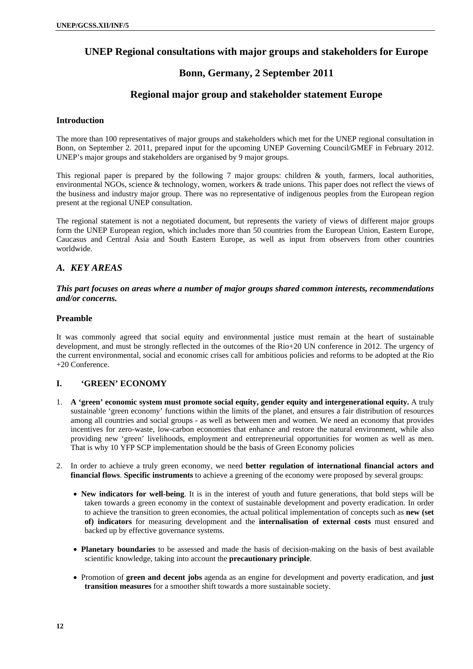# **UNEP Regional consultations with major groups and stakeholders for Europe**

### **Bonn, Germany, 2 September 2011**

### **Regional major group and stakeholder statement Europe**

#### **Introduction**

The more than 100 representatives of major groups and stakeholders which met for the UNEP regional consultation in Bonn, on September 2. 2011, prepared input for the upcoming UNEP Governing Council/GMEF in February 2012. UNEP's major groups and stakeholders are organised by 9 major groups.

This regional paper is prepared by the following 7 major groups: children & youth, farmers, local authorities, environmental NGOs, science & technology, women, workers & trade unions. This paper does not reflect the views of the business and industry major group. There was no representative of indigenous peoples from the European region present at the regional UNEP consultation.

The regional statement is not a negotiated document, but represents the variety of views of different major groups form the UNEP European region, which includes more than 50 countries from the European Union, Eastern Europe, Caucasus and Central Asia and South Eastern Europe, as well as input from observers from other countries worldwide.

#### *A. KEY AREAS*

#### *This part focuses on areas where a number of major groups shared common interests, recommendations and/or concerns.*

#### **Preamble**

It was commonly agreed that social equity and environmental justice must remain at the heart of sustainable development, and must be strongly reflected in the outcomes of the Rio+20 UN conference in 2012. The urgency of the current environmental, social and economic crises call for ambitious policies and reforms to be adopted at the Rio +20 Conference.

#### **I. 'GREEN' ECONOMY**

- 1. **A 'green' economic system must promote social equity, gender equity and intergenerational equity.** A truly sustainable 'green economy' functions within the limits of the planet, and ensures a fair distribution of resources among all countries and social groups - as well as between men and women. We need an economy that provides incentives for zero-waste, low-carbon economies that enhance and restore the natural environment, while also providing new 'green' livelihoods, employment and entrepreneurial opportunities for women as well as men. That is why 10 YFP SCP implementation should be the basis of Green Economy policies
- 2. In order to achieve a truly green economy, we need **better regulation of international financial actors and financial flows**. **Specific instruments** to achieve a greening of the economy were proposed by several groups:
	- **New indicators for well-being**. It is in the interest of youth and future generations, that bold steps will be taken towards a green economy in the context of sustainable development and poverty eradication. In order to achieve the transition to green economies, the actual political implementation of concepts such as **new (set of) indicators** for measuring development and the **internalisation of external costs** must ensured and backed up by effective governance systems.
	- **Planetary boundaries** to be assessed and made the basis of decision-making on the basis of best available scientific knowledge, taking into account the **precautionary principle**.
	- Promotion of **green and decent jobs** agenda as an engine for development and poverty eradication, and **just transition measures** for a smoother shift towards a more sustainable society.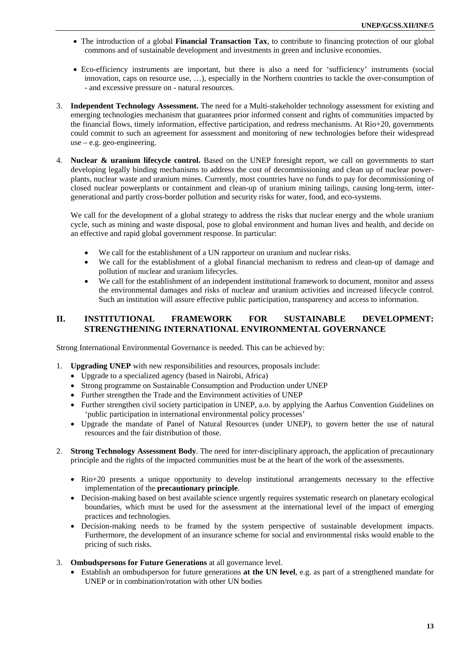- The introduction of a global **Financial Transaction Tax**, to contribute to financing protection of our global commons and of sustainable development and investments in green and inclusive economies.
- Eco-efficiency instruments are important, but there is also a need for 'sufficiency' instruments (social innovation, caps on resource use, …), especially in the Northern countries to tackle the over-consumption of - and excessive pressure on - natural resources.
- 3. **Independent Technology Assessment.** The need for a Multi-stakeholder technology assessment for existing and emerging technologies mechanism that guarantees prior informed consent and rights of communities impacted by the financial flows, timely information, effective participation, and redress mechanisms. At Rio+20, governments could commit to such an agreement for assessment and monitoring of new technologies before their widespread use – e.g. geo-engineering.
- 4. **Nuclear & uranium lifecycle control.** Based on the UNEP foresight report, we call on governments to start developing legally binding mechanisms to address the cost of decommissioning and clean up of nuclear powerplants, nuclear waste and uranium mines. Currently, most countries have no funds to pay for decommissioning of closed nuclear powerplants or containment and clean-up of uranium mining tailings, causing long-term, intergenerational and partly cross-border pollution and security risks for water, food, and eco-systems.

We call for the development of a global strategy to address the risks that nuclear energy and the whole uranium cycle, such as mining and waste disposal, pose to global environment and human lives and health, and decide on an effective and rapid global government response. In particular:

- We call for the establishment of a UN rapporteur on uranium and nuclear risks.
- We call for the establishment of a global financial mechanism to redress and clean-up of damage and pollution of nuclear and uranium lifecycles.
- We call for the establishment of an independent institutional framework to document, monitor and assess the environmental damages and risks of nuclear and uranium activities and increased lifecycle control. Such an institution will assure effective public participation, transparency and access to information.

### **II. INSTITUTIONAL FRAMEWORK FOR SUSTAINABLE DEVELOPMENT: STRENGTHENING INTERNATIONAL ENVIRONMENTAL GOVERNANCE**

Strong International Environmental Governance is needed. This can be achieved by:

- 1. **Upgrading UNEP** with new responsibilities and resources, proposals include:
	- Upgrade to a specialized agency (based in Nairobi, Africa)
	- Strong programme on Sustainable Consumption and Production under UNEP
	- Further strengthen the Trade and the Environment activities of UNEP
	- Further strengthen civil society participation in UNEP, a.o. by applying the Aarhus Convention Guidelines on 'public participation in international environmental policy processes'
	- Upgrade the mandate of Panel of Natural Resources (under UNEP), to govern better the use of natural resources and the fair distribution of those.
- 2. **Strong Technology Assessment Body**. The need for inter-disciplinary approach, the application of precautionary principle and the rights of the impacted communities must be at the heart of the work of the assessments.
	- Rio+20 presents a unique opportunity to develop institutional arrangements necessary to the effective implementation of the **precautionary principle**.
	- Decision-making based on best available science urgently requires systematic research on planetary ecological boundaries, which must be used for the assessment at the international level of the impact of emerging practices and technologies.
	- Decision-making needs to be framed by the system perspective of sustainable development impacts. Furthermore, the development of an insurance scheme for social and environmental risks would enable to the pricing of such risks.
- 3. **Ombudspersons for Future Generations** at all governance level.
	- Establish an ombudsperson for future generations **at the UN level**, e.g. as part of a strengthened mandate for UNEP or in combination/rotation with other UN bodies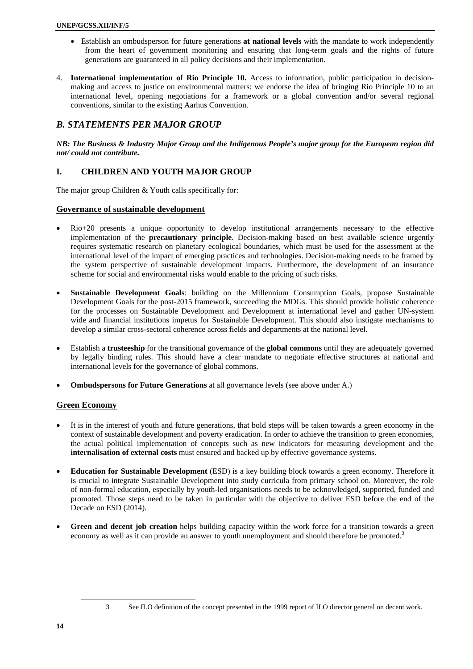- Establish an ombudsperson for future generations **at national levels** with the mandate to work independently from the heart of government monitoring and ensuring that long-term goals and the rights of future generations are guaranteed in all policy decisions and their implementation.
- 4. **International implementation of Rio Principle 10.** Access to information, public participation in decisionmaking and access to justice on environmental matters: we endorse the idea of bringing Rio Principle 10 to an international level, opening negotiations for a framework or a global convention and/or several regional conventions, similar to the existing Aarhus Convention.

### *B. STATEMENTS PER MAJOR GROUP*

*NB: The Business & Industry Major Group and the Indigenous People's major group for the European region did not/ could not contribute.* 

#### **I. CHILDREN AND YOUTH MAJOR GROUP**

The major group Children & Youth calls specifically for:

#### **Governance of sustainable development**

- Rio+20 presents a unique opportunity to develop institutional arrangements necessary to the effective implementation of the **precautionary principle**. Decision-making based on best available science urgently requires systematic research on planetary ecological boundaries, which must be used for the assessment at the international level of the impact of emerging practices and technologies. Decision-making needs to be framed by the system perspective of sustainable development impacts. Furthermore, the development of an insurance scheme for social and environmental risks would enable to the pricing of such risks.
- **Sustainable Development Goals**: building on the Millennium Consumption Goals, propose Sustainable Development Goals for the post-2015 framework, succeeding the MDGs. This should provide holistic coherence for the processes on Sustainable Development and Development at international level and gather UN-system wide and financial institutions impetus for Sustainable Development. This should also instigate mechanisms to develop a similar cross-sectoral coherence across fields and departments at the national level.
- Establish a **trusteeship** for the transitional governance of the **global commons** until they are adequately governed by legally binding rules. This should have a clear mandate to negotiate effective structures at national and international levels for the governance of global commons.
- **Ombudspersons for Future Generations** at all governance levels (see above under A.)

#### **Green Economy**

- It is in the interest of youth and future generations, that bold steps will be taken towards a green economy in the context of sustainable development and poverty eradication. In order to achieve the transition to green economies, the actual political implementation of concepts such as new indicators for measuring development and the **internalisation of external costs** must ensured and backed up by effective governance systems.
- **Education for Sustainable Development** (ESD) is a key building block towards a green economy. Therefore it is crucial to integrate Sustainable Development into study curricula from primary school on. Moreover, the role of non-formal education, especially by youth-led organisations needs to be acknowledged, supported, funded and promoted. Those steps need to be taken in particular with the objective to deliver ESD before the end of the Decade on ESD (2014).
- **Green and decent job creation** helps building capacity within the work force for a transition towards a green economy as well as it can provide an answer to youth unemployment and should therefore be promoted.<sup>3</sup>

l

<sup>3</sup> See ILO definition of the concept presented in the 1999 report of ILO director general on decent work.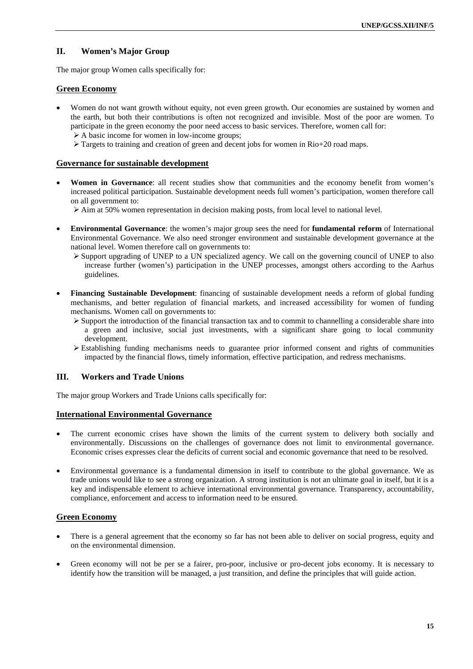### **II. Women's Major Group**

The major group Women calls specifically for:

#### **Green Economy**

- Women do not want growth without equity, not even green growth. Our economies are sustained by women and the earth, but both their contributions is often not recognized and invisible. Most of the poor are women. To participate in the green economy the poor need access to basic services. Therefore, women call for:
	- $\triangleright$  A basic income for women in low-income groups;
	- $\triangleright$  Targets to training and creation of green and decent jobs for women in Rio+20 road maps.

#### **Governance for sustainable development**

- **Women in Governance**: all recent studies show that communities and the economy benefit from women's increased political participation. Sustainable development needs full women's participation, women therefore call on all government to:
	- $\geq$  Aim at 50% women representation in decision making posts, from local level to national level.
- **Environmental Governance**: the women's major group sees the need for **fundamental reform** of International Environmental Governance. We also need stronger environment and sustainable development governance at the national level. Women therefore call on governments to:
	- $\triangleright$  Support upgrading of UNEP to a UN specialized agency. We call on the governing council of UNEP to also increase further (women's) participation in the UNEP processes, amongst others according to the Aarhus guidelines.
- **Financing Sustainable Development**: financing of sustainable development needs a reform of global funding mechanisms, and better regulation of financial markets, and increased accessibility for women of funding mechanisms. Women call on governments to:
	- $\triangleright$  Support the introduction of the financial transaction tax and to commit to channelling a considerable share into a green and inclusive, social just investments, with a significant share going to local community development.
	- $\triangleright$  Establishing funding mechanisms needs to guarantee prior informed consent and rights of communities impacted by the financial flows, timely information, effective participation, and redress mechanisms.

#### **III. Workers and Trade Unions**

The major group Workers and Trade Unions calls specifically for:

#### **International Environmental Governance**

- The current economic crises have shown the limits of the current system to delivery both socially and environmentally. Discussions on the challenges of governance does not limit to environmental governance. Economic crises expresses clear the deficits of current social and economic governance that need to be resolved.
- Environmental governance is a fundamental dimension in itself to contribute to the global governance. We as trade unions would like to see a strong organization. A strong institution is not an ultimate goal in itself, but it is a key and indispensable element to achieve international environmental governance. Transparency, accountability, compliance, enforcement and access to information need to be ensured.

#### **Green Economy**

- There is a general agreement that the economy so far has not been able to deliver on social progress, equity and on the environmental dimension.
- Green economy will not be per se a fairer, pro-poor, inclusive or pro-decent jobs economy. It is necessary to identify how the transition will be managed, a just transition, and define the principles that will guide action.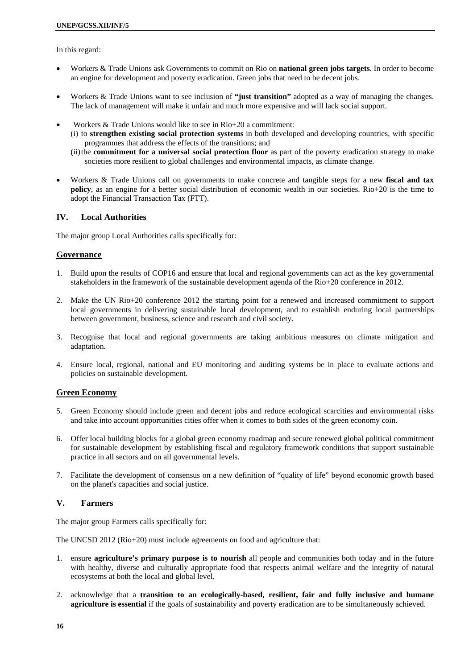In this regard:

- Workers & Trade Unions ask Governments to commit on Rio on **national green jobs targets**. In order to become an engine for development and poverty eradication. Green jobs that need to be decent jobs.
- Workers & Trade Unions want to see inclusion of **"just transition"** adopted as a way of managing the changes. The lack of management will make it unfair and much more expensive and will lack social support.
- Workers & Trade Unions would like to see in Rio+20 a commitment:
	- (i) to **strengthen existing social protection systems** in both developed and developing countries, with specific programmes that address the effects of the transitions; and
	- (ii) the **commitment for a universal social protection floor** as part of the poverty eradication strategy to make societies more resilient to global challenges and environmental impacts, as climate change.
- Workers & Trade Unions call on governments to make concrete and tangible steps for a new **fiscal and tax policy**, as an engine for a better social distribution of economic wealth in our societies. Rio+20 is the time to adopt the Financial Transaction Tax (FTT).

#### **IV. Local Authorities**

The major group Local Authorities calls specifically for:

#### **Governance**

- 1. Build upon the results of COP16 and ensure that local and regional governments can act as the key governmental stakeholders in the framework of the sustainable development agenda of the Rio+20 conference in 2012.
- 2. Make the UN Rio+20 conference 2012 the starting point for a renewed and increased commitment to support local governments in delivering sustainable local development, and to establish enduring local partnerships between government, business, science and research and civil society.
- 3. Recognise that local and regional governments are taking ambitious measures on climate mitigation and adaptation.
- 4. Ensure local, regional, national and EU monitoring and auditing systems be in place to evaluate actions and policies on sustainable development.

#### **Green Economy**

- 5. Green Economy should include green and decent jobs and reduce ecological scarcities and environmental risks and take into account opportunities cities offer when it comes to both sides of the green economy coin.
- 6. Offer local building blocks for a global green economy roadmap and secure renewed global political commitment for sustainable development by establishing fiscal and regulatory framework conditions that support sustainable practice in all sectors and on all governmental levels.
- 7. Facilitate the development of consensus on a new definition of "quality of life" beyond economic growth based on the planet's capacities and social justice.

### **V. Farmers**

The major group Farmers calls specifically for:

The UNCSD 2012 (Rio+20) must include agreements on food and agriculture that:

- 1. ensure **agriculture's primary purpose is to nourish** all people and communities both today and in the future with healthy, diverse and culturally appropriate food that respects animal welfare and the integrity of natural ecosystems at both the local and global level.
- 2. acknowledge that a **transition to an ecologically-based, resilient, fair and fully inclusive and humane agriculture is essential** if the goals of sustainability and poverty eradication are to be simultaneously achieved.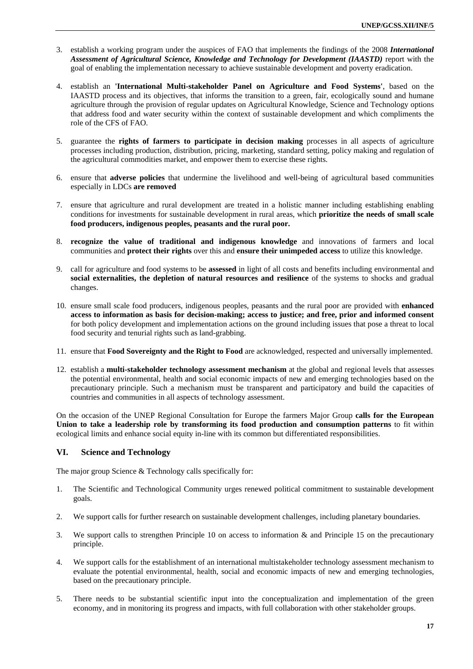- 3. establish a working program under the auspices of FAO that implements the findings of the 2008 *International Assessment of Agricultural Science, Knowledge and Technology for Development (IAASTD)* report with the goal of enabling the implementation necessary to achieve sustainable development and poverty eradication.
- 4. establish an **'International Multi-stakeholder Panel on Agriculture and Food Systems'**, based on the IAASTD process and its objectives, that informs the transition to a green, fair, ecologically sound and humane agriculture through the provision of regular updates on Agricultural Knowledge, Science and Technology options that address food and water security within the context of sustainable development and which compliments the role of the CFS of FAO.
- 5. guarantee the **rights of farmers to participate in decision making** processes in all aspects of agriculture processes including production, distribution, pricing, marketing, standard setting, policy making and regulation of the agricultural commodities market, and empower them to exercise these rights.
- 6. ensure that **adverse policies** that undermine the livelihood and well-being of agricultural based communities especially in LDCs **are removed**
- 7. ensure that agriculture and rural development are treated in a holistic manner including establishing enabling conditions for investments for sustainable development in rural areas, which **prioritize the needs of small scale food producers, indigenous peoples, peasants and the rural poor.**
- 8. **recognize the value of traditional and indigenous knowledge** and innovations of farmers and local communities and **protect their rights** over this and **ensure their unimpeded access** to utilize this knowledge.
- 9. call for agriculture and food systems to be **assessed** in light of all costs and benefits including environmental and **social externalities, the depletion of natural resources and resilience** of the systems to shocks and gradual changes.
- 10. ensure small scale food producers, indigenous peoples, peasants and the rural poor are provided with **enhanced access to information as basis for decision-making; access to justice; and free, prior and informed consent** for both policy development and implementation actions on the ground including issues that pose a threat to local food security and tenurial rights such as land-grabbing.
- 11. ensure that **Food Sovereignty and the Right to Food** are acknowledged, respected and universally implemented.
- 12. establish a **multi-stakeholder technology assessment mechanism** at the global and regional levels that assesses the potential environmental, health and social economic impacts of new and emerging technologies based on the precautionary principle. Such a mechanism must be transparent and participatory and build the capacities of countries and communities in all aspects of technology assessment.

On the occasion of the UNEP Regional Consultation for Europe the farmers Major Group **calls for the European Union to take a leadership role by transforming its food production and consumption patterns** to fit within ecological limits and enhance social equity in-line with its common but differentiated responsibilities.

### **VI. Science and Technology**

The major group Science & Technology calls specifically for:

- 1. The Scientific and Technological Community urges renewed political commitment to sustainable development goals.
- 2. We support calls for further research on sustainable development challenges, including planetary boundaries.
- 3. We support calls to strengthen Principle 10 on access to information & and Principle 15 on the precautionary principle.
- 4. We support calls for the establishment of an international multistakeholder technology assessment mechanism to evaluate the potential environmental, health, social and economic impacts of new and emerging technologies, based on the precautionary principle.
- 5. There needs to be substantial scientific input into the conceptualization and implementation of the green economy, and in monitoring its progress and impacts, with full collaboration with other stakeholder groups.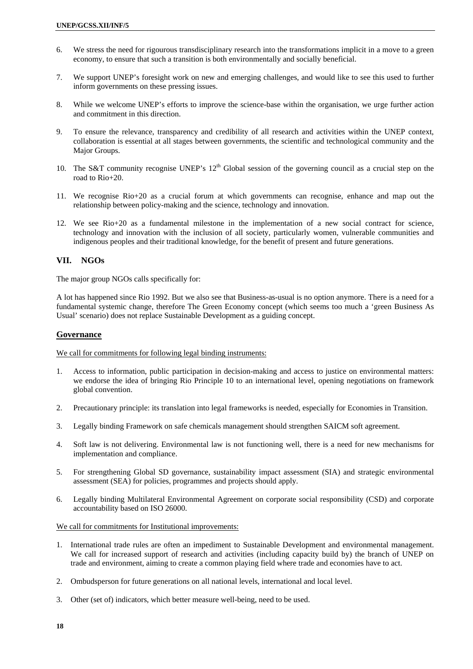- 6. We stress the need for rigourous transdisciplinary research into the transformations implicit in a move to a green economy, to ensure that such a transition is both environmentally and socially beneficial.
- 7. We support UNEP's foresight work on new and emerging challenges, and would like to see this used to further inform governments on these pressing issues.
- 8. While we welcome UNEP's efforts to improve the science-base within the organisation, we urge further action and commitment in this direction.
- 9. To ensure the relevance, transparency and credibility of all research and activities within the UNEP context, collaboration is essential at all stages between governments, the scientific and technological community and the Major Groups.
- 10. The S&T community recognise UNEP's  $12<sup>th</sup>$  Global session of the governing council as a crucial step on the road to Rio+20.
- 11. We recognise Rio+20 as a crucial forum at which governments can recognise, enhance and map out the relationship between policy-making and the science, technology and innovation.
- 12. We see Rio+20 as a fundamental milestone in the implementation of a new social contract for science, technology and innovation with the inclusion of all society, particularly women, vulnerable communities and indigenous peoples and their traditional knowledge, for the benefit of present and future generations.

#### **VII. NGOs**

The major group NGOs calls specifically for:

A lot has happened since Rio 1992. But we also see that Business-as-usual is no option anymore. There is a need for a fundamental systemic change, therefore The Green Economy concept (which seems too much a 'green Business As Usual' scenario) does not replace Sustainable Development as a guiding concept.

#### **Governance**

We call for commitments for following legal binding instruments:

- 1. Access to information, public participation in decision-making and access to justice on environmental matters: we endorse the idea of bringing Rio Principle 10 to an international level, opening negotiations on framework global convention.
- 2. Precautionary principle: its translation into legal frameworks is needed, especially for Economies in Transition.
- 3. Legally binding Framework on safe chemicals management should strengthen SAICM soft agreement.
- 4. Soft law is not delivering. Environmental law is not functioning well, there is a need for new mechanisms for implementation and compliance.
- 5. For strengthening Global SD governance, sustainability impact assessment (SIA) and strategic environmental assessment (SEA) for policies, programmes and projects should apply.
- 6. Legally binding Multilateral Environmental Agreement on corporate social responsibility (CSD) and corporate accountability based on ISO 26000.

#### We call for commitments for Institutional improvements:

- 1. International trade rules are often an impediment to Sustainable Development and environmental management. We call for increased support of research and activities (including capacity build by) the branch of UNEP on trade and environment, aiming to create a common playing field where trade and economies have to act.
- 2. Ombudsperson for future generations on all national levels, international and local level.
- 3. Other (set of) indicators, which better measure well-being, need to be used.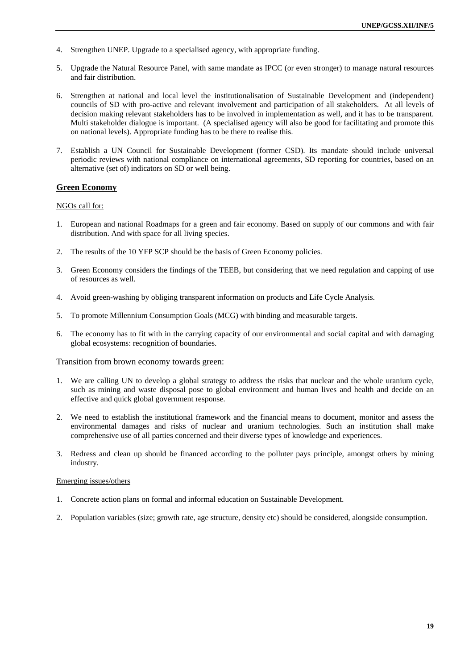- 4. Strengthen UNEP. Upgrade to a specialised agency, with appropriate funding.
- 5. Upgrade the Natural Resource Panel, with same mandate as IPCC (or even stronger) to manage natural resources and fair distribution.
- 6. Strengthen at national and local level the institutionalisation of Sustainable Development and (independent) councils of SD with pro-active and relevant involvement and participation of all stakeholders. At all levels of decision making relevant stakeholders has to be involved in implementation as well, and it has to be transparent. Multi stakeholder dialogue is important. (A specialised agency will also be good for facilitating and promote this on national levels). Appropriate funding has to be there to realise this.
- 7. Establish a UN Council for Sustainable Development (former CSD). Its mandate should include universal periodic reviews with national compliance on international agreements, SD reporting for countries, based on an alternative (set of) indicators on SD or well being.

#### **Green Economy**

#### NGOs call for:

- 1. European and national Roadmaps for a green and fair economy. Based on supply of our commons and with fair distribution. And with space for all living species.
- 2. The results of the 10 YFP SCP should be the basis of Green Economy policies.
- 3. Green Economy considers the findings of the TEEB, but considering that we need regulation and capping of use of resources as well.
- 4. Avoid green-washing by obliging transparent information on products and Life Cycle Analysis.
- 5. To promote Millennium Consumption Goals (MCG) with binding and measurable targets.
- 6. The economy has to fit with in the carrying capacity of our environmental and social capital and with damaging global ecosystems: recognition of boundaries.

#### Transition from brown economy towards green:

- 1. We are calling UN to develop a global strategy to address the risks that nuclear and the whole uranium cycle, such as mining and waste disposal pose to global environment and human lives and health and decide on an effective and quick global government response.
- 2. We need to establish the institutional framework and the financial means to document, monitor and assess the environmental damages and risks of nuclear and uranium technologies. Such an institution shall make comprehensive use of all parties concerned and their diverse types of knowledge and experiences.
- 3. Redress and clean up should be financed according to the polluter pays principle, amongst others by mining industry.

#### Emerging issues/others

- 1. Concrete action plans on formal and informal education on Sustainable Development.
- 2. Population variables (size; growth rate, age structure, density etc) should be considered, alongside consumption.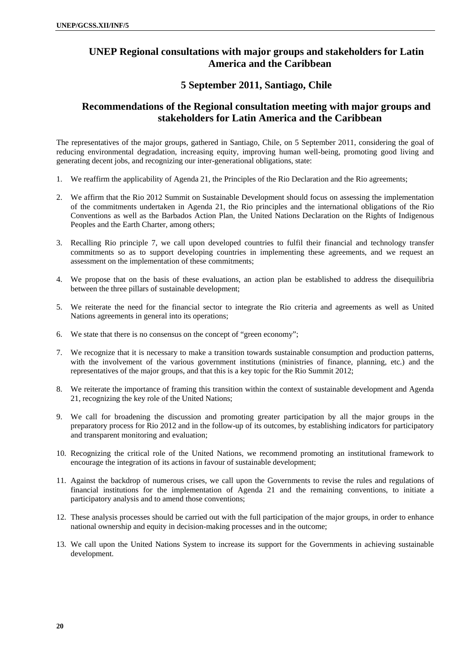# **UNEP Regional consultations with major groups and stakeholders for Latin America and the Caribbean**

### **5 September 2011, Santiago, Chile**

# **Recommendations of the Regional consultation meeting with major groups and stakeholders for Latin America and the Caribbean**

The representatives of the major groups, gathered in Santiago, Chile, on 5 September 2011, considering the goal of reducing environmental degradation, increasing equity, improving human well-being, promoting good living and generating decent jobs, and recognizing our inter-generational obligations, state:

- 1. We reaffirm the applicability of Agenda 21, the Principles of the Rio Declaration and the Rio agreements;
- 2. We affirm that the Rio 2012 Summit on Sustainable Development should focus on assessing the implementation of the commitments undertaken in Agenda 21, the Rio principles and the international obligations of the Rio Conventions as well as the Barbados Action Plan, the United Nations Declaration on the Rights of Indigenous Peoples and the Earth Charter, among others;
- 3. Recalling Rio principle 7, we call upon developed countries to fulfil their financial and technology transfer commitments so as to support developing countries in implementing these agreements, and we request an assessment on the implementation of these commitments;
- 4. We propose that on the basis of these evaluations, an action plan be established to address the disequilibria between the three pillars of sustainable development;
- 5. We reiterate the need for the financial sector to integrate the Rio criteria and agreements as well as United Nations agreements in general into its operations;
- 6. We state that there is no consensus on the concept of "green economy";
- 7. We recognize that it is necessary to make a transition towards sustainable consumption and production patterns, with the involvement of the various government institutions (ministries of finance, planning, etc.) and the representatives of the major groups, and that this is a key topic for the Rio Summit 2012;
- 8. We reiterate the importance of framing this transition within the context of sustainable development and Agenda 21, recognizing the key role of the United Nations;
- 9. We call for broadening the discussion and promoting greater participation by all the major groups in the preparatory process for Rio 2012 and in the follow-up of its outcomes, by establishing indicators for participatory and transparent monitoring and evaluation;
- 10. Recognizing the critical role of the United Nations, we recommend promoting an institutional framework to encourage the integration of its actions in favour of sustainable development;
- 11. Against the backdrop of numerous crises, we call upon the Governments to revise the rules and regulations of financial institutions for the implementation of Agenda 21 and the remaining conventions, to initiate a participatory analysis and to amend those conventions;
- 12. These analysis processes should be carried out with the full participation of the major groups, in order to enhance national ownership and equity in decision-making processes and in the outcome;
- 13. We call upon the United Nations System to increase its support for the Governments in achieving sustainable development.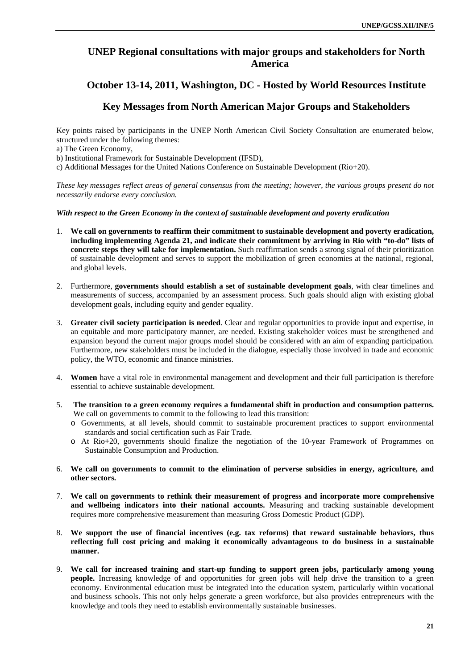# **UNEP Regional consultations with major groups and stakeholders for North America**

### **October 13-14, 2011, Washington, DC - Hosted by World Resources Institute**

### **Key Messages from North American Major Groups and Stakeholders**

Key points raised by participants in the UNEP North American Civil Society Consultation are enumerated below, structured under the following themes:

a) The Green Economy,

b) Institutional Framework for Sustainable Development (IFSD),

c) Additional Messages for the United Nations Conference on Sustainable Development (Rio+20).

*These key messages reflect areas of general consensus from the meeting; however, the various groups present do not necessarily endorse every conclusion.* 

*With respect to the Green Economy in the context of sustainable development and poverty eradication* 

- 1. **We call on governments to reaffirm their commitment to sustainable development and poverty eradication, including implementing Agenda 21, and indicate their commitment by arriving in Rio with "to-do" lists of concrete steps they will take for implementation.** Such reaffirmation sends a strong signal of their prioritization of sustainable development and serves to support the mobilization of green economies at the national, regional, and global levels.
- 2. Furthermore, **governments should establish a set of sustainable development goals**, with clear timelines and measurements of success, accompanied by an assessment process. Such goals should align with existing global development goals, including equity and gender equality.
- 3. **Greater civil society participation is needed**. Clear and regular opportunities to provide input and expertise, in an equitable and more participatory manner, are needed. Existing stakeholder voices must be strengthened and expansion beyond the current major groups model should be considered with an aim of expanding participation. Furthermore, new stakeholders must be included in the dialogue, especially those involved in trade and economic policy, the WTO, economic and finance ministries.
- 4. **Women** have a vital role in environmental management and development and their full participation is therefore essential to achieve sustainable development.
- 5. **The transition to a green economy requires a fundamental shift in production and consumption patterns.**  We call on governments to commit to the following to lead this transition:
	- o Governments, at all levels, should commit to sustainable procurement practices to support environmental standards and social certification such as Fair Trade.
	- o At Rio+20, governments should finalize the negotiation of the 10-year Framework of Programmes on Sustainable Consumption and Production.
- 6. **We call on governments to commit to the elimination of perverse subsidies in energy, agriculture, and other sectors.**
- 7. **We call on governments to rethink their measurement of progress and incorporate more comprehensive and wellbeing indicators into their national accounts.** Measuring and tracking sustainable development requires more comprehensive measurement than measuring Gross Domestic Product (GDP).
- 8. **We support the use of financial incentives (e.g. tax reforms) that reward sustainable behaviors, thus reflecting full cost pricing and making it economically advantageous to do business in a sustainable manner.**
- 9. **We call for increased training and start-up funding to support green jobs, particularly among young people.** Increasing knowledge of and opportunities for green jobs will help drive the transition to a green economy. Environmental education must be integrated into the education system, particularly within vocational and business schools. This not only helps generate a green workforce, but also provides entrepreneurs with the knowledge and tools they need to establish environmentally sustainable businesses.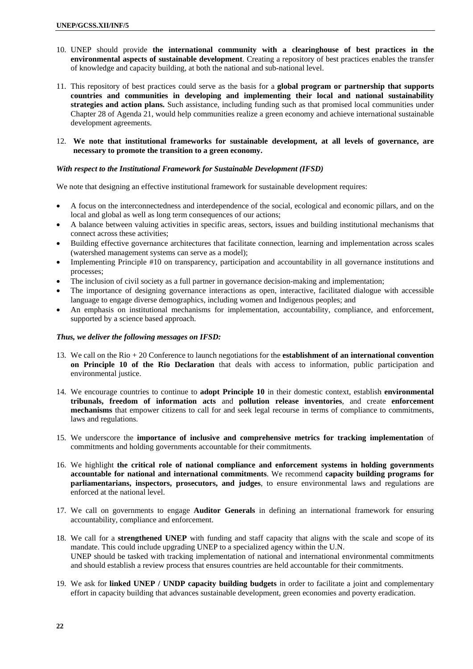- 10. UNEP should provide **the international community with a clearinghouse of best practices in the environmental aspects of sustainable development**. Creating a repository of best practices enables the transfer of knowledge and capacity building, at both the national and sub-national level.
- 11. This repository of best practices could serve as the basis for a **global program or partnership that supports countries and communities in developing and implementing their local and national sustainability strategies and action plans.** Such assistance, including funding such as that promised local communities under Chapter 28 of Agenda 21, would help communities realize a green economy and achieve international sustainable development agreements.
- 12. **We note that institutional frameworks for sustainable development, at all levels of governance, are necessary to promote the transition to a green economy.**

#### *With respect to the Institutional Framework for Sustainable Development (IFSD)*

We note that designing an effective institutional framework for sustainable development requires:

- A focus on the interconnectedness and interdependence of the social, ecological and economic pillars, and on the local and global as well as long term consequences of our actions;
- A balance between valuing activities in specific areas, sectors, issues and building institutional mechanisms that connect across these activities;
- Building effective governance architectures that facilitate connection, learning and implementation across scales (watershed management systems can serve as a model);
- Implementing Principle #10 on transparency, participation and accountability in all governance institutions and processes;
- The inclusion of civil society as a full partner in governance decision-making and implementation;
- The importance of designing governance interactions as open, interactive, facilitated dialogue with accessible language to engage diverse demographics, including women and Indigenous peoples; and
- An emphasis on institutional mechanisms for implementation, accountability, compliance, and enforcement, supported by a science based approach.

#### *Thus, we deliver the following messages on IFSD:*

- 13. We call on the Rio + 20 Conference to launch negotiations for the **establishment of an international convention on Principle 10 of the Rio Declaration** that deals with access to information, public participation and environmental justice.
- 14. We encourage countries to continue to **adopt Principle 10** in their domestic context, establish **environmental tribunals, freedom of information acts** and **pollution release inventories**, and create **enforcement mechanisms** that empower citizens to call for and seek legal recourse in terms of compliance to commitments, laws and regulations.
- 15. We underscore the **importance of inclusive and comprehensive metrics for tracking implementation** of commitments and holding governments accountable for their commitments.
- 16. We highlight **the critical role of national compliance and enforcement systems in holding governments accountable for national and international commitments**. We recommend **capacity building programs for parliamentarians, inspectors, prosecutors, and judges**, to ensure environmental laws and regulations are enforced at the national level.
- 17. We call on governments to engage **Auditor Generals** in defining an international framework for ensuring accountability, compliance and enforcement.
- 18. We call for a **strengthened UNEP** with funding and staff capacity that aligns with the scale and scope of its mandate. This could include upgrading UNEP to a specialized agency within the U.N. UNEP should be tasked with tracking implementation of national and international environmental commitments and should establish a review process that ensures countries are held accountable for their commitments.
- 19. We ask for **linked UNEP / UNDP capacity building budgets** in order to facilitate a joint and complementary effort in capacity building that advances sustainable development, green economies and poverty eradication.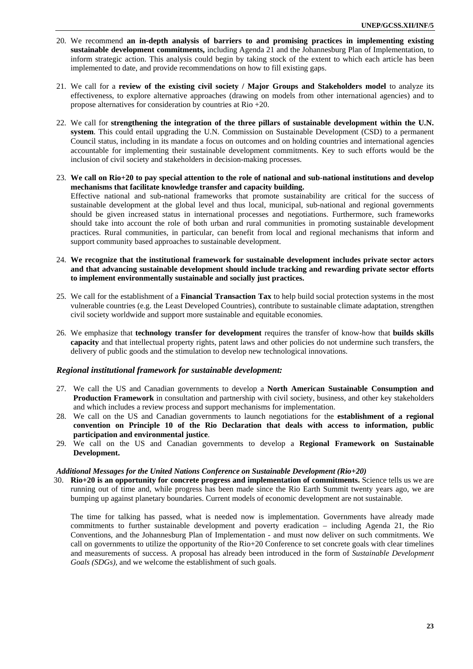- 20. We recommend **an in-depth analysis of barriers to and promising practices in implementing existing sustainable development commitments,** including Agenda 21 and the Johannesburg Plan of Implementation, to inform strategic action. This analysis could begin by taking stock of the extent to which each article has been implemented to date, and provide recommendations on how to fill existing gaps.
- 21. We call for a **review of the existing civil society / Major Groups and Stakeholders model** to analyze its effectiveness, to explore alternative approaches (drawing on models from other international agencies) and to propose alternatives for consideration by countries at Rio +20.
- 22. We call for **strengthening the integration of the three pillars of sustainable development within the U.N. system**. This could entail upgrading the U.N. Commission on Sustainable Development (CSD) to a permanent Council status, including in its mandate a focus on outcomes and on holding countries and international agencies accountable for implementing their sustainable development commitments. Key to such efforts would be the inclusion of civil society and stakeholders in decision-making processes.
- 23. **We call on Rio+20 to pay special attention to the role of national and sub-national institutions and develop mechanisms that facilitate knowledge transfer and capacity building.**  Effective national and sub-national frameworks that promote sustainability are critical for the success of sustainable development at the global level and thus local, municipal, sub-national and regional governments should be given increased status in international processes and negotiations. Furthermore, such frameworks should take into account the role of both urban and rural communities in promoting sustainable development practices. Rural communities, in particular, can benefit from local and regional mechanisms that inform and support community based approaches to sustainable development.
- 24. **We recognize that the institutional framework for sustainable development includes private sector actors and that advancing sustainable development should include tracking and rewarding private sector efforts to implement environmentally sustainable and socially just practices.**
- 25. We call for the establishment of a **Financial Transaction Tax** to help build social protection systems in the most vulnerable countries (e.g. the Least Developed Countries), contribute to sustainable climate adaptation, strengthen civil society worldwide and support more sustainable and equitable economies.
- 26. We emphasize that **technology transfer for development** requires the transfer of know-how that **builds skills capacity** and that intellectual property rights, patent laws and other policies do not undermine such transfers, the delivery of public goods and the stimulation to develop new technological innovations.

#### *Regional institutional framework for sustainable development:*

- 27. We call the US and Canadian governments to develop a **North American Sustainable Consumption and Production Framework** in consultation and partnership with civil society, business, and other key stakeholders and which includes a review process and support mechanisms for implementation.
- 28. We call on the US and Canadian governments to launch negotiations for the **establishment of a regional convention on Principle 10 of the Rio Declaration that deals with access to information, public participation and environmental justice**.
- 29. We call on the US and Canadian governments to develop a **Regional Framework on Sustainable Development.**

#### *Additional Messages for the United Nations Conference on Sustainable Development (Rio+20)*

30. **Rio+20 is an opportunity for concrete progress and implementation of commitments.** Science tells us we are running out of time and, while progress has been made since the Rio Earth Summit twenty years ago, we are bumping up against planetary boundaries. Current models of economic development are not sustainable.

The time for talking has passed, what is needed now is implementation. Governments have already made commitments to further sustainable development and poverty eradication – including Agenda 21, the Rio Conventions, and the Johannesburg Plan of Implementation - and must now deliver on such commitments. We call on governments to utilize the opportunity of the Rio+20 Conference to set concrete goals with clear timelines and measurements of success. A proposal has already been introduced in the form of *Sustainable Development Goals (SDGs),* and we welcome the establishment of such goals.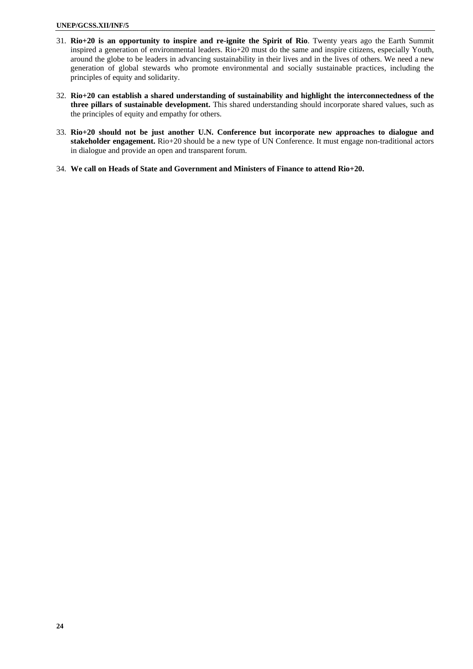- 31. **Rio+20 is an opportunity to inspire and re-ignite the Spirit of Rio**. Twenty years ago the Earth Summit inspired a generation of environmental leaders. Rio+20 must do the same and inspire citizens, especially Youth, around the globe to be leaders in advancing sustainability in their lives and in the lives of others. We need a new generation of global stewards who promote environmental and socially sustainable practices, including the principles of equity and solidarity.
- 32. **Rio+20 can establish a shared understanding of sustainability and highlight the interconnectedness of the three pillars of sustainable development.** This shared understanding should incorporate shared values, such as the principles of equity and empathy for others.
- 33. **Rio+20 should not be just another U.N. Conference but incorporate new approaches to dialogue and stakeholder engagement.** Rio+20 should be a new type of UN Conference. It must engage non-traditional actors in dialogue and provide an open and transparent forum.
- 34. **We call on Heads of State and Government and Ministers of Finance to attend Rio+20.**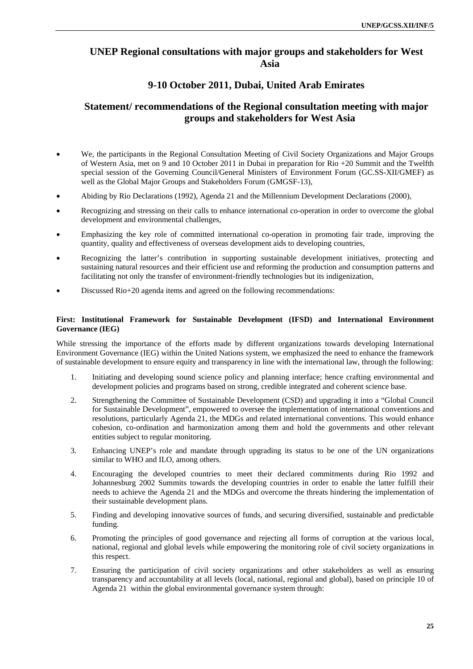# **UNEP Regional consultations with major groups and stakeholders for West Asia**

# **9-10 October 2011, Dubai, United Arab Emirates**

# **Statement/ recommendations of the Regional consultation meeting with major groups and stakeholders for West Asia**

- We, the participants in the Regional Consultation Meeting of Civil Society Organizations and Major Groups of Western Asia, met on 9 and 10 October 2011 in Dubai in preparation for Rio +20 Summit and the Twelfth special session of the Governing Council/General Ministers of Environment Forum (GC.SS-XII/GMEF) as well as the Global Major Groups and Stakeholders Forum (GMGSF-13),
- Abiding by Rio Declarations (1992), Agenda 21 and the Millennium Development Declarations (2000),
- Recognizing and stressing on their calls to enhance international co-operation in order to overcome the global development and environmental challenges,
- Emphasizing the key role of committed international co-operation in promoting fair trade, improving the quantity, quality and effectiveness of overseas development aids to developing countries,
- Recognizing the latter's contribution in supporting sustainable development initiatives, protecting and sustaining natural resources and their efficient use and reforming the production and consumption patterns and facilitating not only the transfer of environment-friendly technologies but its indigenization,
- Discussed Rio+20 agenda items and agreed on the following recommendations:

#### **First: Institutional Framework for Sustainable Development (IFSD) and International Environment Governance (IEG)**

While stressing the importance of the efforts made by different organizations towards developing International Environment Governance (IEG) within the United Nations system, we emphasized the need to enhance the framework of sustainable development to ensure equity and transparency in line with the international law, through the following:

- 1. Initiating and developing sound science policy and planning interface; hence crafting environmental and development policies and programs based on strong, credible integrated and coherent science base.
- 2. Strengthening the Committee of Sustainable Development (CSD) and upgrading it into a "Global Council for Sustainable Development", empowered to oversee the implementation of international conventions and resolutions, particularly Agenda 21, the MDGs and related international conventions. This would enhance cohesion, co-ordination and harmonization among them and hold the governments and other relevant entities subject to regular monitoring.
- 3. Enhancing UNEP's role and mandate through upgrading its status to be one of the UN organizations similar to WHO and ILO, among others.
- 4. Encouraging the developed countries to meet their declared commitments during Rio 1992 and Johannesburg 2002 Summits towards the developing countries in order to enable the latter fulfill their needs to achieve the Agenda 21 and the MDGs and overcome the threats hindering the implementation of their sustainable development plans.
- 5. Finding and developing innovative sources of funds, and securing diversified, sustainable and predictable funding.
- 6. Promoting the principles of good governance and rejecting all forms of corruption at the various local, national, regional and global levels while empowering the monitoring role of civil society organizations in this respect.
- 7. Ensuring the participation of civil society organizations and other stakeholders as well as ensuring transparency and accountability at all levels (local, national, regional and global), based on principle 10 of Agenda 21 within the global environmental governance system through: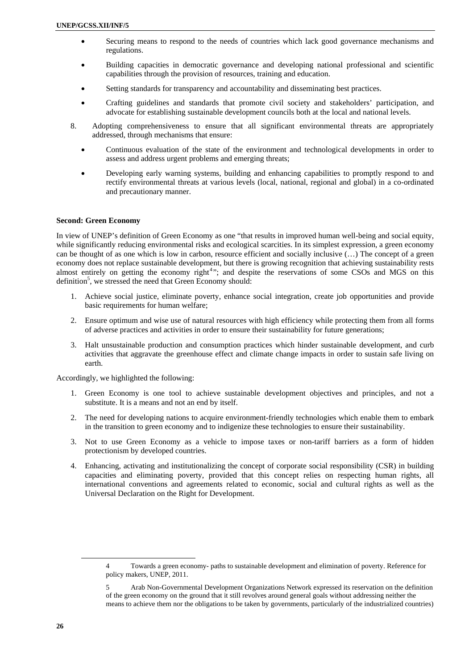- Securing means to respond to the needs of countries which lack good governance mechanisms and regulations.
- Building capacities in democratic governance and developing national professional and scientific capabilities through the provision of resources, training and education.
- Setting standards for transparency and accountability and disseminating best practices.
- Crafting guidelines and standards that promote civil society and stakeholders' participation, and advocate for establishing sustainable development councils both at the local and national levels.
- 8. Adopting comprehensiveness to ensure that all significant environmental threats are appropriately addressed, through mechanisms that ensure:
	- Continuous evaluation of the state of the environment and technological developments in order to assess and address urgent problems and emerging threats;
	- Developing early warning systems, building and enhancing capabilities to promptly respond to and rectify environmental threats at various levels (local, national, regional and global) in a co-ordinated and precautionary manner.

#### **Second: Green Economy**

In view of UNEP's definition of Green Economy as one "that results in improved human well-being and social equity, while significantly reducing environmental risks and ecological scarcities. In its simplest expression, a green economy can be thought of as one which is low in carbon, resource efficient and socially inclusive (…) The concept of a green economy does not replace sustainable development, but there is growing recognition that achieving sustainability rests almost entirely on getting the economy right<sup>4</sup>"; and despite the reservations of some CSOs and MGS on this definition<sup>5</sup>, we stressed the need that Green Economy should:

- 1. Achieve social justice, eliminate poverty, enhance social integration, create job opportunities and provide basic requirements for human welfare;
- 2. Ensure optimum and wise use of natural resources with high efficiency while protecting them from all forms of adverse practices and activities in order to ensure their sustainability for future generations;
- 3. Halt unsustainable production and consumption practices which hinder sustainable development, and curb activities that aggravate the greenhouse effect and climate change impacts in order to sustain safe living on earth.

Accordingly, we highlighted the following:

- 1. Green Economy is one tool to achieve sustainable development objectives and principles, and not a substitute. It is a means and not an end by itself.
- 2. The need for developing nations to acquire environment-friendly technologies which enable them to embark in the transition to green economy and to indigenize these technologies to ensure their sustainability.
- 3. Not to use Green Economy as a vehicle to impose taxes or non-tariff barriers as a form of hidden protectionism by developed countries.
- 4. Enhancing, activating and institutionalizing the concept of corporate social responsibility (CSR) in building capacities and eliminating poverty, provided that this concept relies on respecting human rights, all international conventions and agreements related to economic, social and cultural rights as well as the Universal Declaration on the Right for Development.

l

<sup>4</sup> Towards a green economy- paths to sustainable development and elimination of poverty. Reference for policy makers, UNEP, 2011.

<sup>5</sup> Arab Non-Governmental Development Organizations Network expressed its reservation on the definition of the green economy on the ground that it still revolves around general goals without addressing neither the means to achieve them nor the obligations to be taken by governments, particularly of the industrialized countries)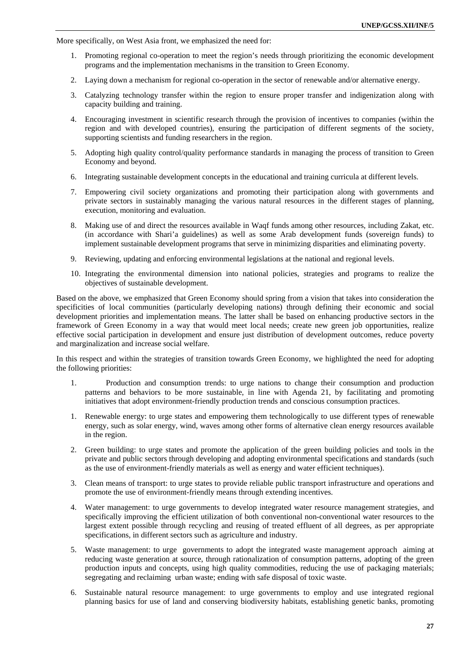More specifically, on West Asia front, we emphasized the need for:

- 1. Promoting regional co-operation to meet the region's needs through prioritizing the economic development programs and the implementation mechanisms in the transition to Green Economy.
- 2. Laying down a mechanism for regional co-operation in the sector of renewable and/or alternative energy.
- 3. Catalyzing technology transfer within the region to ensure proper transfer and indigenization along with capacity building and training.
- 4. Encouraging investment in scientific research through the provision of incentives to companies (within the region and with developed countries), ensuring the participation of different segments of the society, supporting scientists and funding researchers in the region.
- 5. Adopting high quality control/quality performance standards in managing the process of transition to Green Economy and beyond.
- 6. Integrating sustainable development concepts in the educational and training curricula at different levels.
- 7. Empowering civil society organizations and promoting their participation along with governments and private sectors in sustainably managing the various natural resources in the different stages of planning, execution, monitoring and evaluation.
- 8. Making use of and direct the resources available in Waqf funds among other resources, including Zakat, etc. (in accordance with Shari'a guidelines) as well as some Arab development funds (sovereign funds) to implement sustainable development programs that serve in minimizing disparities and eliminating poverty.
- 9. Reviewing, updating and enforcing environmental legislations at the national and regional levels.
- 10. Integrating the environmental dimension into national policies, strategies and programs to realize the objectives of sustainable development.

Based on the above, we emphasized that Green Economy should spring from a vision that takes into consideration the specificities of local communities (particularly developing nations) through defining their economic and social development priorities and implementation means. The latter shall be based on enhancing productive sectors in the framework of Green Economy in a way that would meet local needs; create new green job opportunities, realize effective social participation in development and ensure just distribution of development outcomes, reduce poverty and marginalization and increase social welfare.

In this respect and within the strategies of transition towards Green Economy, we highlighted the need for adopting the following priorities:

- 1. Production and consumption trends: to urge nations to change their consumption and production patterns and behaviors to be more sustainable, in line with Agenda 21, by facilitating and promoting initiatives that adopt environment-friendly production trends and conscious consumption practices.
- 1. Renewable energy: to urge states and empowering them technologically to use different types of renewable energy, such as solar energy, wind, waves among other forms of alternative clean energy resources available in the region.
- 2. Green building: to urge states and promote the application of the green building policies and tools in the private and public sectors through developing and adopting environmental specifications and standards (such as the use of environment-friendly materials as well as energy and water efficient techniques).
- 3. Clean means of transport: to urge states to provide reliable public transport infrastructure and operations and promote the use of environment-friendly means through extending incentives.
- 4. Water management: to urge governments to develop integrated water resource management strategies, and specifically improving the efficient utilization of both conventional non-conventional water resources to the largest extent possible through recycling and reusing of treated effluent of all degrees, as per appropriate specifications, in different sectors such as agriculture and industry.
- 5. Waste management: to urge governments to adopt the integrated waste management approach aiming at reducing waste generation at source, through rationalization of consumption patterns, adopting of the green production inputs and concepts, using high quality commodities, reducing the use of packaging materials; segregating and reclaiming urban waste; ending with safe disposal of toxic waste.
- 6. Sustainable natural resource management: to urge governments to employ and use integrated regional planning basics for use of land and conserving biodiversity habitats, establishing genetic banks, promoting